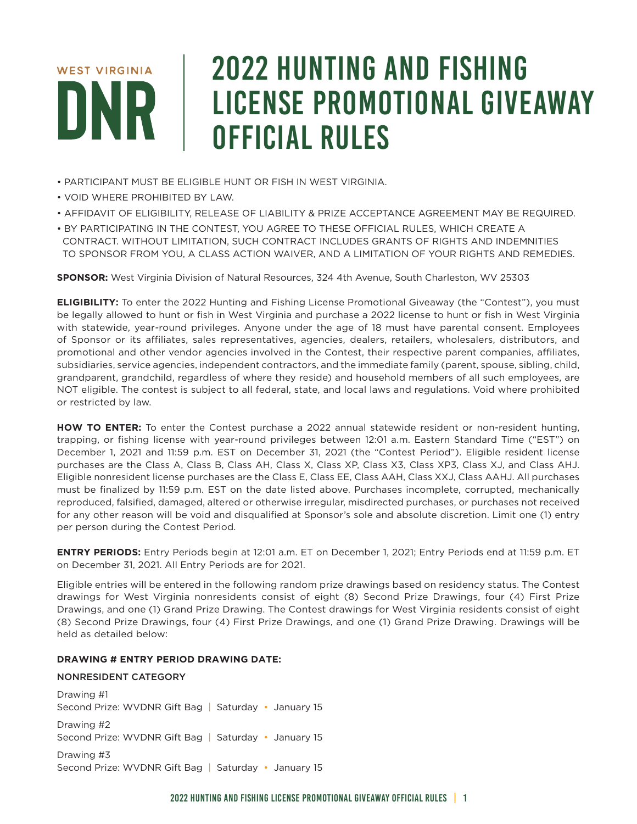# **WEST VIRGINIA**

# 2022 HUNTING AND FISHING LICENSE PROMOTIONAL GIVEAWAY OFFICIAL RULES

- PARTICIPANT MUST BE ELIGIBLE HUNT OR FISH IN WEST VIRGINIA.
- VOID WHERE PROHIBITED BY LAW.
- AFFIDAVIT OF ELIGIBILITY, RELEASE OF LIABILITY & PRIZE ACCEPTANCE AGREEMENT MAY BE REQUIRED.
- BY PARTICIPATING IN THE CONTEST, YOU AGREE TO THESE OFFICIAL RULES, WHICH CREATE A CONTRACT. WITHOUT LIMITATION, SUCH CONTRACT INCLUDES GRANTS OF RIGHTS AND INDEMNITIES TO SPONSOR FROM YOU, A CLASS ACTION WAIVER, AND A LIMITATION OF YOUR RIGHTS AND REMEDIES.

**SPONSOR:** West Virginia Division of Natural Resources, 324 4th Avenue, South Charleston, WV 25303

**ELIGIBILITY:** To enter the 2022 Hunting and Fishing License Promotional Giveaway (the "Contest"), you must be legally allowed to hunt or fish in West Virginia and purchase a 2022 license to hunt or fish in West Virginia with statewide, year-round privileges. Anyone under the age of 18 must have parental consent. Employees of Sponsor or its affiliates, sales representatives, agencies, dealers, retailers, wholesalers, distributors, and promotional and other vendor agencies involved in the Contest, their respective parent companies, affiliates, subsidiaries, service agencies, independent contractors, and the immediate family (parent, spouse, sibling, child, grandparent, grandchild, regardless of where they reside) and household members of all such employees, are NOT eligible. The contest is subject to all federal, state, and local laws and regulations. Void where prohibited or restricted by law.

**HOW TO ENTER:** To enter the Contest purchase a 2022 annual statewide resident or non-resident hunting, trapping, or fishing license with year-round privileges between 12:01 a.m. Eastern Standard Time ("EST") on December 1, 2021 and 11:59 p.m. EST on December 31, 2021 (the "Contest Period"). Eligible resident license purchases are the Class A, Class B, Class AH, Class X, Class XP, Class X3, Class XP3, Class XJ, and Class AHJ. Eligible nonresident license purchases are the Class E, Class EE, Class AAH, Class XXJ, Class AAHJ. All purchases must be finalized by 11:59 p.m. EST on the date listed above. Purchases incomplete, corrupted, mechanically reproduced, falsified, damaged, altered or otherwise irregular, misdirected purchases, or purchases not received for any other reason will be void and disqualified at Sponsor's sole and absolute discretion. Limit one (1) entry per person during the Contest Period.

**ENTRY PERIODS:** Entry Periods begin at 12:01 a.m. ET on December 1, 2021; Entry Periods end at 11:59 p.m. ET on December 31, 2021. All Entry Periods are for 2021.

Eligible entries will be entered in the following random prize drawings based on residency status. The Contest drawings for West Virginia nonresidents consist of eight (8) Second Prize Drawings, four (4) First Prize Drawings, and one (1) Grand Prize Drawing. The Contest drawings for West Virginia residents consist of eight (8) Second Prize Drawings, four (4) First Prize Drawings, and one (1) Grand Prize Drawing. Drawings will be held as detailed below:

# **DRAWING # ENTRY PERIOD DRAWING DATE:**

# NONRESIDENT CATEGORY

Drawing #1 Second Prize: WVDNR Gift Bag | Saturday • January 15 Drawing #2 Second Prize: WVDNR Gift Bag | Saturday • January 15

Drawing #3 Second Prize: WVDNR Gift Bag | Saturday • January 15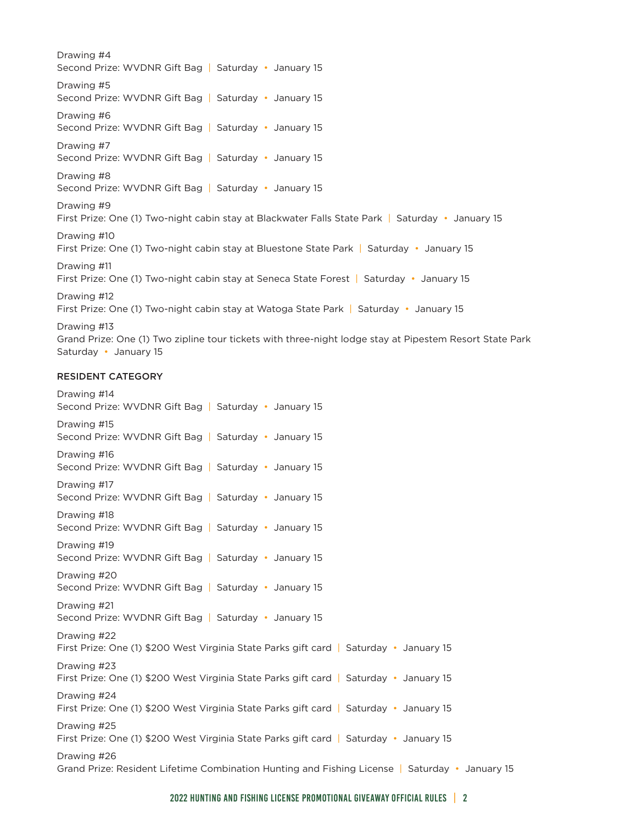Drawing #4 Second Prize: WVDNR Gift Bag | Saturday • January 15 Drawing #5 Second Prize: WVDNR Gift Bag | Saturday • January 15 Drawing #6 Second Prize: WVDNR Gift Bag | Saturday • January 15 Drawing #7 Second Prize: WVDNR Gift Bag | Saturday • January 15 Drawing #8 Second Prize: WVDNR Gift Bag | Saturday • January 15 Drawing #9 First Prize: One (1) Two-night cabin stay at Blackwater Falls State Park | Saturday • January 15 Drawing #10 First Prize: One (1) Two-night cabin stay at Bluestone State Park | Saturday • January 15 Drawing #11 First Prize: One (1) Two-night cabin stay at Seneca State Forest | Saturday • January 15 Drawing #12 First Prize: One (1) Two-night cabin stay at Watoga State Park | Saturday • January 15 Drawing #13 Grand Prize: One (1) Two zipline tour tickets with three-night lodge stay at Pipestem Resort State Park Saturday • January 15

### RESIDENT CATEGORY

Drawing #14 Second Prize: WVDNR Gift Bag | Saturday • January 15 Drawing #15 Second Prize: WVDNR Gift Bag | Saturday • January 15 Drawing #16 Second Prize: WVDNR Gift Bag | Saturday • January 15 Drawing #17 Second Prize: WVDNR Gift Bag | Saturday • January 15 Drawing #18 Second Prize: WVDNR Gift Bag | Saturday • January 15 Drawing #19 Second Prize: WVDNR Gift Bag | Saturday • January 15 Drawing #20 Second Prize: WVDNR Gift Bag | Saturday • January 15 Drawing #21 Second Prize: WVDNR Gift Bag | Saturday • January 15 Drawing #22 First Prize: One (1) \$200 West Virginia State Parks gift card | Saturday • January 15 Drawing #23 First Prize: One (1) \$200 West Virginia State Parks gift card | Saturday • January 15 Drawing #24 First Prize: One (1) \$200 West Virginia State Parks gift card | Saturday • January 15 Drawing #25 First Prize: One (1) \$200 West Virginia State Parks gift card | Saturday • January 15 Drawing #26 Grand Prize: Resident Lifetime Combination Hunting and Fishing License | Saturday • January 15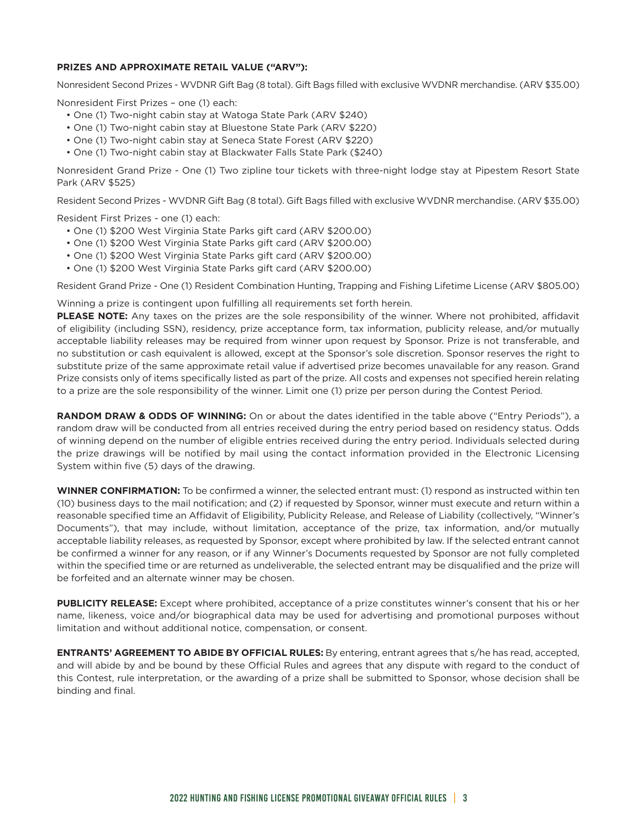### **PRIZES AND APPROXIMATE RETAIL VALUE ("ARV"):**

Nonresident Second Prizes - WVDNR Gift Bag (8 total). Gift Bags filled with exclusive WVDNR merchandise. (ARV \$35.00)

Nonresident First Prizes – one (1) each:

- One (1) Two-night cabin stay at Watoga State Park (ARV \$240)
- One (1) Two-night cabin stay at Bluestone State Park (ARV \$220)
- One (1) Two-night cabin stay at Seneca State Forest (ARV \$220)
- One (1) Two-night cabin stay at Blackwater Falls State Park (\$240)

Nonresident Grand Prize - One (1) Two zipline tour tickets with three-night lodge stay at Pipestem Resort State Park (ARV \$525)

Resident Second Prizes - WVDNR Gift Bag (8 total). Gift Bags filled with exclusive WVDNR merchandise. (ARV \$35.00)

Resident First Prizes - one (1) each:

- One (1) \$200 West Virginia State Parks gift card (ARV \$200.00)
- One (1) \$200 West Virginia State Parks gift card (ARV \$200.00)
- One (1) \$200 West Virginia State Parks gift card (ARV \$200.00)
- One (1) \$200 West Virginia State Parks gift card (ARV \$200.00)

Resident Grand Prize - One (1) Resident Combination Hunting, Trapping and Fishing Lifetime License (ARV \$805.00)

Winning a prize is contingent upon fulfilling all requirements set forth herein.

**PLEASE NOTE:** Any taxes on the prizes are the sole responsibility of the winner. Where not prohibited, affidavit of eligibility (including SSN), residency, prize acceptance form, tax information, publicity release, and/or mutually acceptable liability releases may be required from winner upon request by Sponsor. Prize is not transferable, and no substitution or cash equivalent is allowed, except at the Sponsor's sole discretion. Sponsor reserves the right to substitute prize of the same approximate retail value if advertised prize becomes unavailable for any reason. Grand Prize consists only of items specifically listed as part of the prize. All costs and expenses not specified herein relating to a prize are the sole responsibility of the winner. Limit one (1) prize per person during the Contest Period.

**RANDOM DRAW & ODDS OF WINNING:** On or about the dates identified in the table above ("Entry Periods"), a random draw will be conducted from all entries received during the entry period based on residency status. Odds of winning depend on the number of eligible entries received during the entry period. Individuals selected during the prize drawings will be notified by mail using the contact information provided in the Electronic Licensing System within five (5) days of the drawing.

**WINNER CONFIRMATION:** To be confirmed a winner, the selected entrant must: (1) respond as instructed within ten (10) business days to the mail notification; and (2) if requested by Sponsor, winner must execute and return within a reasonable specified time an Affidavit of Eligibility, Publicity Release, and Release of Liability (collectively, "Winner's Documents"), that may include, without limitation, acceptance of the prize, tax information, and/or mutually acceptable liability releases, as requested by Sponsor, except where prohibited by law. If the selected entrant cannot be confirmed a winner for any reason, or if any Winner's Documents requested by Sponsor are not fully completed within the specified time or are returned as undeliverable, the selected entrant may be disqualified and the prize will be forfeited and an alternate winner may be chosen.

**PUBLICITY RELEASE:** Except where prohibited, acceptance of a prize constitutes winner's consent that his or her name, likeness, voice and/or biographical data may be used for advertising and promotional purposes without limitation and without additional notice, compensation, or consent.

**ENTRANTS' AGREEMENT TO ABIDE BY OFFICIAL RULES:** By entering, entrant agrees that s/he has read, accepted, and will abide by and be bound by these Official Rules and agrees that any dispute with regard to the conduct of this Contest, rule interpretation, or the awarding of a prize shall be submitted to Sponsor, whose decision shall be binding and final.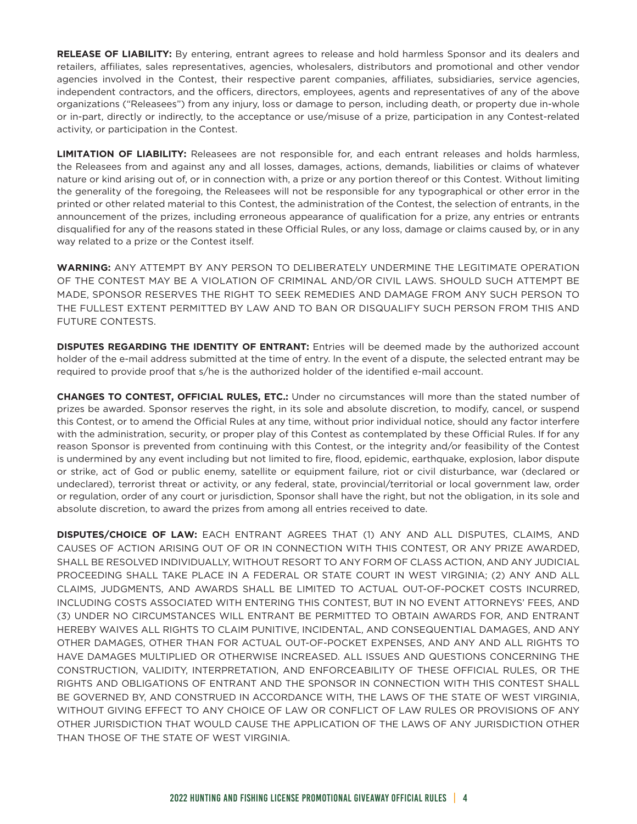**RELEASE OF LIABILITY:** By entering, entrant agrees to release and hold harmless Sponsor and its dealers and retailers, affiliates, sales representatives, agencies, wholesalers, distributors and promotional and other vendor agencies involved in the Contest, their respective parent companies, affiliates, subsidiaries, service agencies, independent contractors, and the officers, directors, employees, agents and representatives of any of the above organizations ("Releasees") from any injury, loss or damage to person, including death, or property due in-whole or in-part, directly or indirectly, to the acceptance or use/misuse of a prize, participation in any Contest-related activity, or participation in the Contest.

**LIMITATION OF LIABILITY:** Releasees are not responsible for, and each entrant releases and holds harmless, the Releasees from and against any and all losses, damages, actions, demands, liabilities or claims of whatever nature or kind arising out of, or in connection with, a prize or any portion thereof or this Contest. Without limiting the generality of the foregoing, the Releasees will not be responsible for any typographical or other error in the printed or other related material to this Contest, the administration of the Contest, the selection of entrants, in the announcement of the prizes, including erroneous appearance of qualification for a prize, any entries or entrants disqualified for any of the reasons stated in these Official Rules, or any loss, damage or claims caused by, or in any way related to a prize or the Contest itself.

**WARNING:** ANY ATTEMPT BY ANY PERSON TO DELIBERATELY UNDERMINE THE LEGITIMATE OPERATION OF THE CONTEST MAY BE A VIOLATION OF CRIMINAL AND/OR CIVIL LAWS. SHOULD SUCH ATTEMPT BE MADE, SPONSOR RESERVES THE RIGHT TO SEEK REMEDIES AND DAMAGE FROM ANY SUCH PERSON TO THE FULLEST EXTENT PERMITTED BY LAW AND TO BAN OR DISQUALIFY SUCH PERSON FROM THIS AND FUTURE CONTESTS.

**DISPUTES REGARDING THE IDENTITY OF ENTRANT:** Entries will be deemed made by the authorized account holder of the e-mail address submitted at the time of entry. In the event of a dispute, the selected entrant may be required to provide proof that s/he is the authorized holder of the identified e-mail account.

**CHANGES TO CONTEST, OFFICIAL RULES, ETC.:** Under no circumstances will more than the stated number of prizes be awarded. Sponsor reserves the right, in its sole and absolute discretion, to modify, cancel, or suspend this Contest, or to amend the Official Rules at any time, without prior individual notice, should any factor interfere with the administration, security, or proper play of this Contest as contemplated by these Official Rules. If for any reason Sponsor is prevented from continuing with this Contest, or the integrity and/or feasibility of the Contest is undermined by any event including but not limited to fire, flood, epidemic, earthquake, explosion, labor dispute or strike, act of God or public enemy, satellite or equipment failure, riot or civil disturbance, war (declared or undeclared), terrorist threat or activity, or any federal, state, provincial/territorial or local government law, order or regulation, order of any court or jurisdiction, Sponsor shall have the right, but not the obligation, in its sole and absolute discretion, to award the prizes from among all entries received to date.

**DISPUTES/CHOICE OF LAW:** EACH ENTRANT AGREES THAT (1) ANY AND ALL DISPUTES, CLAIMS, AND CAUSES OF ACTION ARISING OUT OF OR IN CONNECTION WITH THIS CONTEST, OR ANY PRIZE AWARDED, SHALL BE RESOLVED INDIVIDUALLY, WITHOUT RESORT TO ANY FORM OF CLASS ACTION, AND ANY JUDICIAL PROCEEDING SHALL TAKE PLACE IN A FEDERAL OR STATE COURT IN WEST VIRGINIA; (2) ANY AND ALL CLAIMS, JUDGMENTS, AND AWARDS SHALL BE LIMITED TO ACTUAL OUT-OF-POCKET COSTS INCURRED, INCLUDING COSTS ASSOCIATED WITH ENTERING THIS CONTEST, BUT IN NO EVENT ATTORNEYS' FEES, AND (3) UNDER NO CIRCUMSTANCES WILL ENTRANT BE PERMITTED TO OBTAIN AWARDS FOR, AND ENTRANT HEREBY WAIVES ALL RIGHTS TO CLAIM PUNITIVE, INCIDENTAL, AND CONSEQUENTIAL DAMAGES, AND ANY OTHER DAMAGES, OTHER THAN FOR ACTUAL OUT-OF-POCKET EXPENSES, AND ANY AND ALL RIGHTS TO HAVE DAMAGES MULTIPLIED OR OTHERWISE INCREASED. ALL ISSUES AND QUESTIONS CONCERNING THE CONSTRUCTION, VALIDITY, INTERPRETATION, AND ENFORCEABILITY OF THESE OFFICIAL RULES, OR THE RIGHTS AND OBLIGATIONS OF ENTRANT AND THE SPONSOR IN CONNECTION WITH THIS CONTEST SHALL BE GOVERNED BY, AND CONSTRUED IN ACCORDANCE WITH, THE LAWS OF THE STATE OF WEST VIRGINIA, WITHOUT GIVING EFFECT TO ANY CHOICE OF LAW OR CONFLICT OF LAW RULES OR PROVISIONS OF ANY OTHER JURISDICTION THAT WOULD CAUSE THE APPLICATION OF THE LAWS OF ANY JURISDICTION OTHER THAN THOSE OF THE STATE OF WEST VIRGINIA.